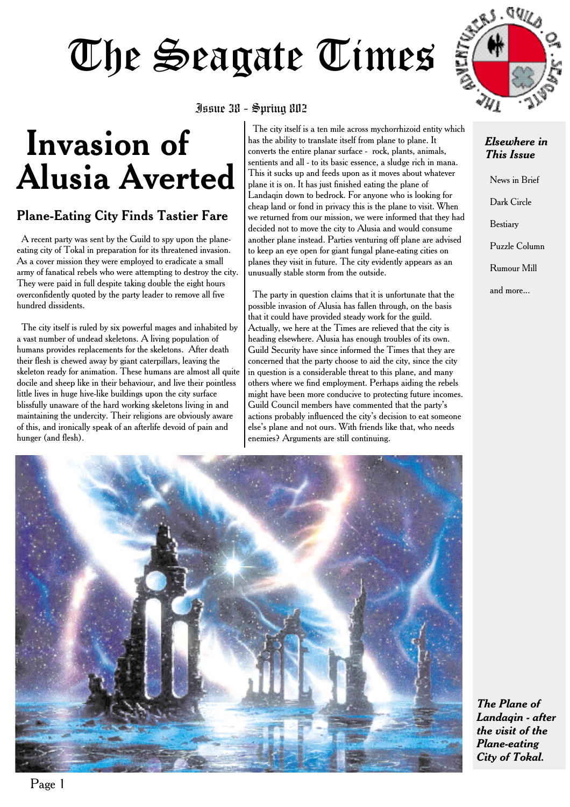# The Seagate Times

#### Issue 38 - Spring 802

## **Invasion of Alusia Averted**

### **Plane-Eating City Finds Tastier Fare**

A recent party was sent by the Guild to spy upon the planeeating city of Tokal in preparation for its threatened invasion. As a cover mission they were employed to eradicate a small army of fanatical rebels who were attempting to destroy the city. They were paid in full despite taking double the eight hours overconfidently quoted by the party leader to remove all five hundred dissidents.

The city itself is ruled by six powerful mages and inhabited by a vast number of undead skeletons. A living population of humans provides replacements for the skeletons. After death their flesh is chewed away by giant caterpillars, leaving the skeleton ready for animation. These humans are almost all quite docile and sheep like in their behaviour, and live their pointless little lives in huge hive-like buildings upon the city surface blissfully unaware of the hard working skeletons living in and maintaining the undercity. Their religions are obviously aware of this, and ironically speak of an afterlife devoid of pain and hunger (and flesh).

The city itself is a ten mile across mychorrhizoid entity which has the ability to translate itself from plane to plane. It converts the entire planar surface - rock, plants, animals, sentients and all - to its basic essence, a sludge rich in mana. This it sucks up and feeds upon as it moves about whatever plane it is on. It has just finished eating the plane of Landaqin down to bedrock. For anyone who is looking for cheap land or fond in privacy this is the plane to visit. When we returned from our mission, we were informed that they had decided not to move the city to Alusia and would consume another plane instead. Parties venturing off plane are advised to keep an eye open for giant fungal plane-eating cities on planes they visit in future. The city evidently appears as an unusually stable storm from the outside.

The party in question claims that it is unfortunate that the possible invasion of Alusia has fallen through, on the basis that it could have provided steady work for the guild. Actually, we here at the Times are relieved that the city is heading elsewhere. Alusia has enough troubles of its own. Guild Security have since informed the Times that they are concerned that the party choose to aid the city, since the city in question is a considerable threat to this plane, and many others where we find employment. Perhaps aiding the rebels might have been more conducive to protecting future incomes. Guild Council members have commented that the party's actions probably influenced the city's decision to eat someone else's plane and not ours. With friends like that, who needs enemies? Arguments are still continuing.



#### *Elsewhere in This Issue*

News in Brief Dark Circle Bestiary Puzzle Column Rumour Mill and more...



*The Plane of Landaqin - after the visit of the Plane-eating City of Tokal.*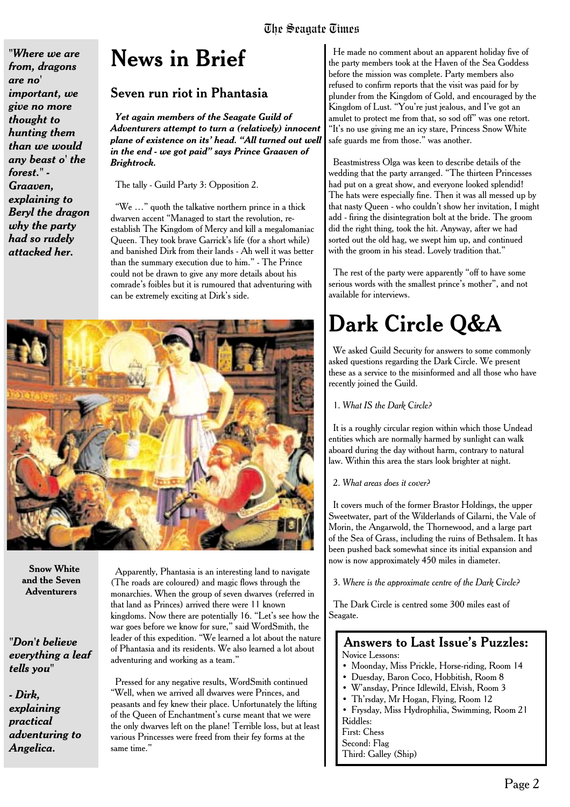*"Where we are from, dragons are no' important, we give no more thought to hunting them than we would any beast o' the forest." - Graaven, explaining to Beryl the dragon why the party had so rudely attacked her.*

### **News in Brief**

#### **Seven run riot in Phantasia**

*Yet again members of the Seagate Guild of Adventurers attempt to turn a (relatively) innocent plane of existence on its' head. "All turned out well in the end - we got paid" says Prince Graaven of Brightrock.*

The tally - Guild Party 3: Opposition 2.

"We …" quoth the talkative northern prince in a thick dwarven accent "Managed to start the revolution, reestablish The Kingdom of Mercy and kill a megalomaniac Queen. They took brave Garrick's life (for a short while) and banished Dirk from their lands - Ah well it was better than the summary execution due to him." - The Prince could not be drawn to give any more details about his comrade's foibles but it is rumoured that adventuring with can be extremely exciting at Dirk's side.



**Snow White and the Seven Adventurers**

*"Don't believe everything a leaf tells you"*

*- Dirk, explaining practical adventuring to Angelica.*

Apparently, Phantasia is an interesting land to navigate (The roads are coloured) and magic flows through the monarchies. When the group of seven dwarves (referred in that land as Princes) arrived there were 11 known kingdoms. Now there are potentially 16. "Let's see how the war goes before we know for sure," said WordSmith, the leader of this expedition. "We learned a lot about the nature of Phantasia and its residents. We also learned a lot about adventuring and working as a team."

Pressed for any negative results, WordSmith continued "Well, when we arrived all dwarves were Princes, and peasants and fey knew their place. Unfortunately the lifting of the Queen of Enchantment's curse meant that we were the only dwarves left on the plane! Terrible loss, but at least various Princesses were freed from their fey forms at the same time."

He made no comment about an apparent holiday five of the party members took at the Haven of the Sea Goddess before the mission was complete. Party members also refused to confirm reports that the visit was paid for by plunder from the Kingdom of Gold, and encouraged by the Kingdom of Lust. "You're just jealous, and I've got an amulet to protect me from that, so sod off" was one retort. "It's no use giving me an icy stare, Princess Snow White safe guards me from those." was another.

Beastmistress Olga was keen to describe details of the wedding that the party arranged. "The thirteen Princesses had put on a great show, and everyone looked splendid! The hats were especially fine. Then it was all messed up by that nasty Queen - who couldn't show her invitation, I might add - firing the disintegration bolt at the bride. The groom did the right thing, took the hit. Anyway, after we had sorted out the old hag, we swept him up, and continued with the groom in his stead. Lovely tradition that."

The rest of the party were apparently "off to have some serious words with the smallest prince's mother", and not available for interviews.

### **Dark Circle Q&A**

We asked Guild Security for answers to some commonly asked questions regarding the Dark Circle. We present these as a service to the misinformed and all those who have recently joined the Guild.

1. *What IS the Dark Circle?*

It is a roughly circular region within which those Undead entities which are normally harmed by sunlight can walk aboard during the day without harm, contrary to natural law. Within this area the stars look brighter at night.

#### 2. *What areas does it cover?*

It covers much of the former Brastor Holdings, the upper Sweetwater, part of the Wilderlands of Gilarni, the Vale of Morin, the Angarwold, the Thornewood, and a large part of the Sea of Grass, including the ruins of Bethsalem. It has been pushed back somewhat since its initial expansion and now is now approximately 450 miles in diameter.

3. *Where is the approximate centre of the Dark Circle?*

The Dark Circle is centred some 300 miles east of Seagate.

#### Answers to Last Issue's Puzzles: Novice Lessons:

- Moonday, Miss Prickle, Horse-riding, Room 14
- Duesday, Baron Coco, Hobbitish, Room 8
- W'ansday, Prince Idlewild, Elvish, Room 3
- Th'rsday, Mr Hogan, Flying, Room 12
- Frysday, Miss Hydrophilia, Swimming, Room 21 Riddles:

First: Chess

Second: Flag

Third: Galley (Ship)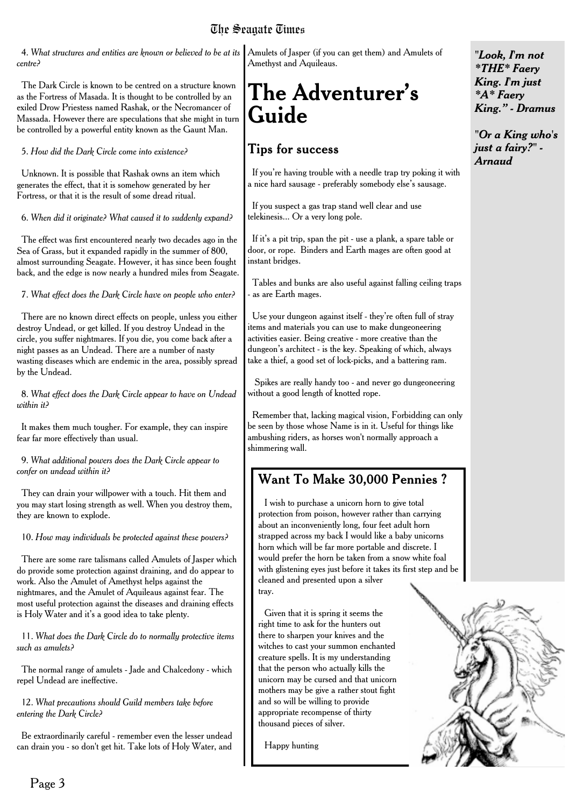### The Seagate Times

4. *What structures and entities are known or believed to be at its centre?*

The Dark Circle is known to be centred on a structure known as the Fortress of Masada. It is thought to be controlled by an exiled Drow Priestess named Rashak, or the Necromancer of Massada. However there are speculations that she might in turn be controlled by a powerful entity known as the Gaunt Man.

5. *How did the Dark Circle come into existence?*

Unknown. It is possible that Rashak owns an item which generates the effect, that it is somehow generated by her Fortress, or that it is the result of some dread ritual.

6. *When did it originate? What caused it to suddenly expand?*

The effect was first encountered nearly two decades ago in the Sea of Grass, but it expanded rapidly in the summer of 800, almost surrounding Seagate. However, it has since been fought back, and the edge is now nearly a hundred miles from Seagate.

7. *What effect does the Dark Circle have on people who enter?*

There are no known direct effects on people, unless you either destroy Undead, or get killed. If you destroy Undead in the circle, you suffer nightmares. If you die, you come back after a night passes as an Undead. There are a number of nasty wasting diseases which are endemic in the area, possibly spread by the Undead.

8. *What effect does the Dark Circle appear to have on Undead within it?*

It makes them much tougher. For example, they can inspire fear far more effectively than usual.

9. *What additional powers does the Dark Circle appear to confer on undead within it?*

They can drain your willpower with a touch. Hit them and you may start losing strength as well. When you destroy them, they are known to explode.

10. *How may individuals be protected against these powers?*

There are some rare talismans called Amulets of Jasper which do provide some protection against draining, and do appear to work. Also the Amulet of Amethyst helps against the nightmares, and the Amulet of Aquileaus against fear. The most useful protection against the diseases and draining effects is Holy Water and it's a good idea to take plenty.

11. *What does the Dark Circle do to normally protective items such as amulets?*

The normal range of amulets - Jade and Chalcedony - which repel Undead are ineffective.

12. *What precautions should Guild members take before entering the Dark Circle?*

Be extraordinarily careful - remember even the lesser undead can drain you - so don't get hit. Take lots of Holy Water, and

Amulets of Jasper (if you can get them) and Amulets of Amethyst and Aquileaus.

### **The Adventurer's Guide**

### **Tips for success**

If you're having trouble with a needle trap try poking it with a nice hard sausage - preferably somebody else's sausage.

If you suspect a gas trap stand well clear and use telekinesis... Or a very long pole.

If it's a pit trip, span the pit - use a plank, a spare table or door, or rope. Binders and Earth mages are often good at instant bridges.

Tables and bunks are also useful against falling ceiling traps - as are Earth mages.

Use your dungeon against itself - they're often full of stray items and materials you can use to make dungeoneering activities easier. Being creative - more creative than the dungeon's architect - is the key. Speaking of which, always take a thief, a good set of lock-picks, and a battering ram.

Spikes are really handy too - and never go dungeoneering without a good length of knotted rope.

Remember that, lacking magical vision, Forbidding can only be seen by those whose Name is in it. Useful for things like ambushing riders, as horses won't normally approach a shimmering wall.

### **Want To Make 30,000 Pennies ?**

I wish to purchase a unicorn horn to give total protection from poison, however rather than carrying about an inconveniently long, four feet adult horn strapped across my back I would like a baby unicorns horn which will be far more portable and discrete. I would prefer the horn be taken from a snow white foal with glistening eyes just before it takes its first step and be cleaned and presented upon a silver tray.

Given that it is spring it seems the right time to ask for the hunters out there to sharpen your knives and the witches to cast your summon enchanted creature spells. It is my understanding that the person who actually kills the unicorn may be cursed and that unicorn mothers may be give a rather stout fight and so will be willing to provide appropriate recompense of thirty thousand pieces of silver.

Happy hunting



*"Look, I'm not \*THE\* Faery King. I'm just \*A\* Faery King." - Dramus*

*"Or a King who's just a fairy?" - Arnaud*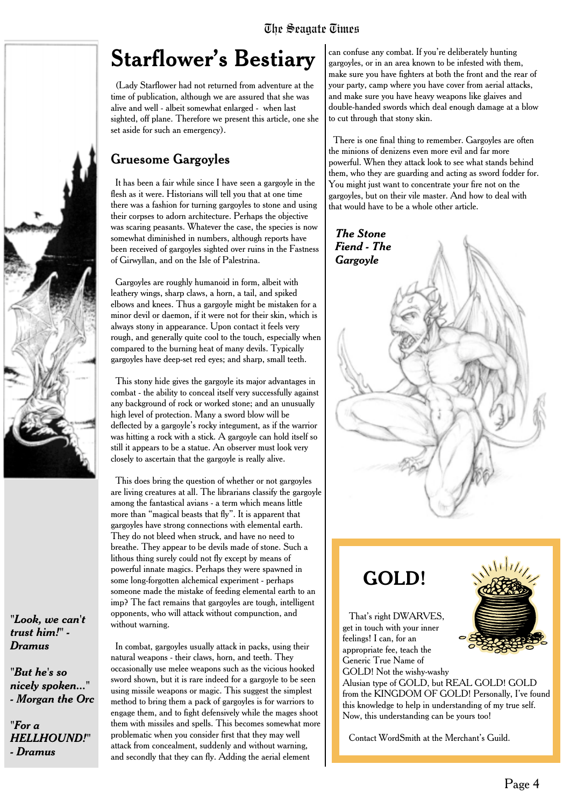### **Starflower's Bestiary**

(Lady Starflower had not returned from adventure at the time of publication, although we are assured that she was alive and well - albeit somewhat enlarged - when last sighted, off plane. Therefore we present this article, one she set aside for such an emergency).

### Gruesome Gargoyles

It has been a fair while since I have seen a gargoyle in the flesh as it were. Historians will tell you that at one time there was a fashion for turning gargoyles to stone and using their corpses to adorn architecture. Perhaps the objective was scaring peasants. Whatever the case, the species is now somewhat diminished in numbers, although reports have been received of gargoyles sighted over ruins in the Fastness of Girwyllan, and on the Isle of Palestrina.

Gargoyles are roughly humanoid in form, albeit with leathery wings, sharp claws, a horn, a tail, and spiked elbows and knees. Thus a gargoyle might be mistaken for a minor devil or daemon, if it were not for their skin, which is always stony in appearance. Upon contact it feels very rough, and generally quite cool to the touch, especially when compared to the burning heat of many devils. Typically gargoyles have deep-set red eyes; and sharp, small teeth.

This stony hide gives the gargoyle its major advantages in combat - the ability to conceal itself very successfully against any background of rock or worked stone; and an unusually high level of protection. Many a sword blow will be deflected by a gargoyle's rocky integument, as if the warrior was hitting a rock with a stick. A gargoyle can hold itself so still it appears to be a statue. An observer must look very closely to ascertain that the gargoyle is really alive.

This does bring the question of whether or not gargoyles are living creatures at all. The librarians classify the gargoyle among the fantastical avians - a term which means little more than "magical beasts that fly". It is apparent that gargoyles have strong connections with elemental earth. They do not bleed when struck, and have no need to breathe. They appear to be devils made of stone. Such a lithous thing surely could not fly except by means of powerful innate magics. Perhaps they were spawned in some long-forgotten alchemical experiment - perhaps someone made the mistake of feeding elemental earth to an imp? The fact remains that gargoyles are tough, intelligent opponents, who will attack without compunction, and without warning.

*"Look, we can't trust him!" - Dramus*

*"But he's so nicely spoken..." - Morgan the Orc*

*HELLHOUND!"*

*"For a*

*- Dramus*

In combat, gargoyles usually attack in packs, using their natural weapons - their claws, horn, and teeth. They occasionally use melee weapons such as the vicious hooked sword shown, but it is rare indeed for a gargoyle to be seen using missile weapons or magic. This suggest the simplest method to bring them a pack of gargoyles is for warriors to engage them, and to fight defensively while the mages shoot them with missiles and spells. This becomes somewhat more problematic when you consider first that they may well attack from concealment, suddenly and without warning, and secondly that they can fly. Adding the aerial element

can confuse any combat. If you're deliberately hunting gargoyles, or in an area known to be infested with them, make sure you have fighters at both the front and the rear of your party, camp where you have cover from aerial attacks, and make sure you have heavy weapons like glaives and double-handed swords which deal enough damage at a blow to cut through that stony skin.

There is one final thing to remember. Gargoyles are often the minions of denizens even more evil and far more powerful. When they attack look to see what stands behind them, who they are guarding and acting as sword fodder for. You might just want to concentrate your fire not on the gargoyles, but on their vile master. And how to deal with that would have to be a whole other article.



### **GOLD!**

That's right DWARVES. get in touch with your inner feelings! I can, for an appropriate fee, teach the Generic True Name of GOLD! Not the wishy-washy

Alusian type of GOLD, but REAL GOLD! GOLD from the KINGDOM OF GOLD! Personally, I've found this knowledge to help in understanding of my true self. Now, this understanding can be yours too!

Contact WordSmith at the Merchant's Guild.

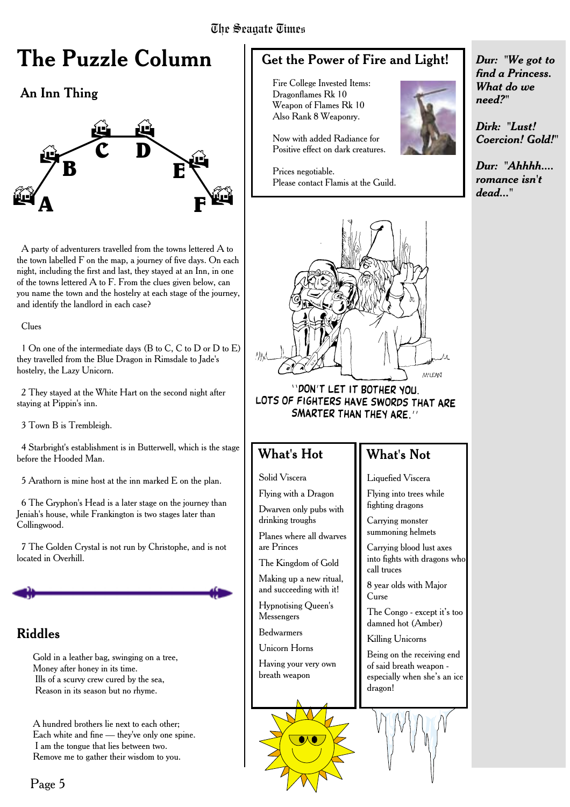#### The Seanate Times

### **The Puzzle Column**

### An Inn Thing



A party of adventurers travelled from the towns lettered A to the town labelled F on the map, a journey of five days. On each night, including the first and last, they stayed at an Inn, in one of the towns lettered A to F. From the clues given below, can you name the town and the hostelry at each stage of the journey, and identify the landlord in each case?

Clues

1 On one of the intermediate days (B to C, C to D or D to E) they travelled from the Blue Dragon in Rimsdale to Jade's hostelry, the Lazy Unicorn.

2 They stayed at the White Hart on the second night after staying at Pippin's inn.

3 Town B is Trembleigh.

4 Starbright's establishment is in Butterwell, which is the stage before the Hooded Man.

5 Arathorn is mine host at the inn marked E on the plan.

6 The Gryphon's Head is a later stage on the journey than Jeniah's house, while Frankington is two stages later than Collingwood.

7 The Golden Crystal is not run by Christophe, and is not located in Overhill.

### Riddles

Gold in a leather bag, swinging on a tree, Money after honey in its time. Ills of a scurvy crew cured by the sea, Reason in its season but no rhyme.

A hundred brothers lie next to each other; Each white and fine — they've only one spine. I am the tongue that lies between two. Remove me to gather their wisdom to you.

### Get the Power of Fire and Light!

Fire College Invested Items: Dragonflames Rk 10 Weapon of Flames Rk 10 Also Rank 8 Weaponry.

Now with added Radiance for Positive effect on dark creatures.

Prices negotiable. Please contact Flamis at the Guild.



"DON'T LET IT BOTHER YOU. LOTS OF FIGHTERS HAVE SWORDS THAT ARE SMARTER THAN THEY ARE."

#### What's Hot

Solid Viscera

Flying with a Dragon Dwarven only pubs with drinking troughs

Planes where all dwarves are Princes

The Kingdom of Gold

Making up a new ritual, and succeeding with it!

Hypnotising Queen's Messengers

Bedwarmers

Unicorn Horns

Having your very own breath weapon

### What's Not

Liquefied Viscera

Flying into trees while fighting dragons

Carrying monster summoning helmets

Carrying blood lust axes into fights with dragons who call truces

8 year olds with Major Curse

The Congo - except it's too damned hot (Amber)

Killing Unicorns

Being on the receiving end of said breath weapon especially when she's an ice dragon!



*Dur: "We got to find a Princess. What do we need?"*

*Dirk: "Lust! Coercion! Gold!"*

*Dur: "Ahhhh.... romance isn't dead..."*